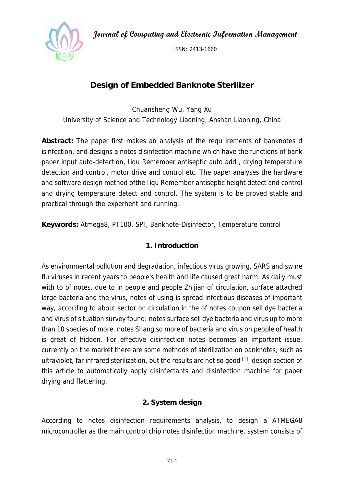**Journal of Computing and Electronic Information Management** 



ISSN: 2413-1660

# **Design of Embedded Banknote Sterilizer**

Chuansheng Wu, Yang Xu University of Science and Technology Liaoning, Anshan Liaoning, China

**Abstract:** The paper first makes an analysis of the requ irements of banknotes d isinfection, and designs a notes disinfection machine which have the functions of bank paper input auto-detection, Iiqu Remember antiseptic auto add , drying temperature detection and control, motor drive and control etc. The paper analyses the hardware and software design method ofthe Iiqu Remember antiseptic height detect and control and drying temperature detect and control. The system is to be proved stable and practical through the experhent and running.

**Keywords:** Atmega8, PT100, SPI, Banknote-Disinfector, Temperature control

## **1. Introduction**

As environmental pollution and degradation, infectious virus growing, SARS and swine flu viruses in recent years to people's health and life caused great harm. As daily must with to of notes, due to in people and people Zhijian of circulation, surface attached large bacteria and the virus, notes of using is spread infectious diseases of important way, according to about sector on circulation in the of notes coupon sell dye bacteria and virus of situation survey found: notes surface sell dye bacteria and virus up to more than 10 species of more, notes Shang so more of bacteria and virus on people of health is great of hidden. For effective disinfection notes becomes an important issue, currently on the market there are some methods of sterilization on banknotes, such as ultraviolet, far infrared sterilization, but the results are not so good [1], design section of this article to automatically apply disinfectants and disinfection machine for paper drying and flattening.

## **2. System design**

According to notes disinfection requirements analysis, to design a ATMEGA8 microcontroller as the main control chip notes disinfection machine, system consists of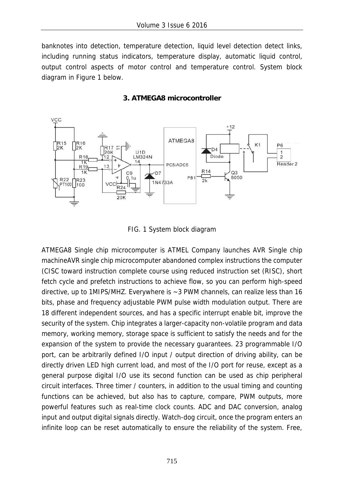banknotes into detection, temperature detection, liquid level detection detect links, including running status indicators, temperature display, automatic liquid control, output control aspects of motor control and temperature control. System block diagram in Figure 1 below.





FIG. 1 System block diagram

ATMEGA8 Single chip microcomputer is ATMEL Company launches AVR Single chip machineAVR single chip microcomputer abandoned complex instructions the computer (CISC toward instruction complete course using reduced instruction set (RISC), short fetch cycle and prefetch instructions to achieve flow, so you can perform high-speed directive, up to 1MIPS/MHZ. Everywhere is ~3 PWM channels, can realize less than 16 bits, phase and frequency adjustable PWM pulse width modulation output. There are 18 different independent sources, and has a specific interrupt enable bit, improve the security of the system. Chip integrates a larger-capacity non-volatile program and data memory, working memory, storage space is sufficient to satisfy the needs and for the expansion of the system to provide the necessary guarantees. 23 programmable I/O port, can be arbitrarily defined I/O input / output direction of driving ability, can be directly driven LED high current load, and most of the I/O port for reuse, except as a general purpose digital I/O use its second function can be used as chip peripheral circuit interfaces. Three timer / counters, in addition to the usual timing and counting functions can be achieved, but also has to capture, compare, PWM outputs, more powerful features such as real-time clock counts. ADC and DAC conversion, analog input and output digital signals directly. Watch-dog circuit, once the program enters an infinite loop can be reset automatically to ensure the reliability of the system. Free,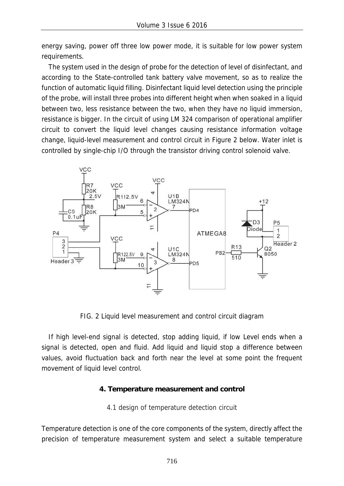energy saving, power off three low power mode, it is suitable for low power system requirements.

The system used in the design of probe for the detection of level of disinfectant, and according to the State-controlled tank battery valve movement, so as to realize the function of automatic liquid filling. Disinfectant liquid level detection using the principle of the probe, will install three probes into different height when when soaked in a liquid between two, less resistance between the two, when they have no liquid immersion, resistance is bigger. In the circuit of using LM 324 comparison of operational amplifier circuit to convert the liquid level changes causing resistance information voltage change, liquid-level measurement and control circuit in Figure 2 below. Water inlet is controlled by single-chip I/O through the transistor driving control solenoid valve.



FIG. 2 Liquid level measurement and control circuit diagram

If high level-end signal is detected, stop adding liquid, if low Level ends when a signal is detected, open and fluid. Add liquid and liquid stop a difference between values, avoid fluctuation back and forth near the level at some point the frequent movement of liquid level control.

## **4. Temperature measurement and control**

4.1 design of temperature detection circuit

Temperature detection is one of the core components of the system, directly affect the precision of temperature measurement system and select a suitable temperature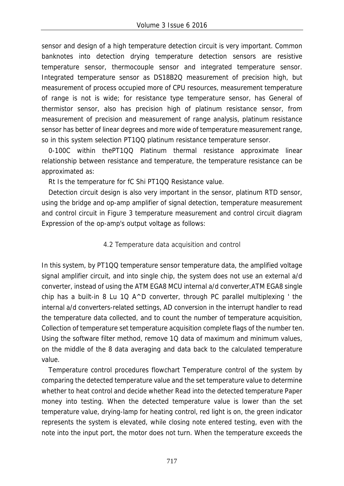sensor and design of a high temperature detection circuit is very important. Common banknotes into detection drying temperature detection sensors are resistive temperature sensor, thermocouple sensor and integrated temperature sensor. Integrated temperature sensor as DS18B2Q measurement of precision high, but measurement of process occupied more of CPU resources, measurement temperature of range is not is wide; for resistance type temperature sensor, has General of thermistor sensor, also has precision high of platinum resistance sensor, from measurement of precision and measurement of range analysis, platinum resistance sensor has better of linear degrees and more wide of temperature measurement range, so in this system selection PT1QQ platinum resistance temperature sensor.

0-100C within thePT1QQ Platinum thermal resistance approximate linear relationship between resistance and temperature, the temperature resistance can be approximated as:

Rt Is the temperature for fC Shi PT1QQ Resistance value.

Detection circuit design is also very important in the sensor, platinum RTD sensor, using the bridge and op-amp amplifier of signal detection, temperature measurement and control circuit in Figure 3 temperature measurement and control circuit diagram Expression of the op-amp's output voltage as follows:

## 4.2 Temperature data acquisition and control

In this system, by PT1QQ temperature sensor temperature data, the amplified voltage signal amplifier circuit, and into single chip, the system does not use an external a/d converter, instead of using the ATM EGA8 MCU internal a/d converter,ATM EGA8 single chip has a built-in 8 Lu 1Q A^D converter, through PC parallel multiplexing ' the internal a/d converters-related settings, AD conversion in the interrupt handler to read the temperature data collected, and to count the number of temperature acquisition, Collection of temperature set temperature acquisition complete flags of the number ten. Using the software filter method, remove 1Q data of maximum and minimum values, on the middle of the 8 data averaging and data back to the calculated temperature value.

Temperature control procedures flowchart Temperature control of the system by comparing the detected temperature value and the set temperature value to determine whether to heat control and decide whether Read into the detected temperature Paper money into testing. When the detected temperature value is lower than the set temperature value, drying-lamp for heating control, red light is on, the green indicator represents the system is elevated, while closing note entered testing, even with the note into the input port, the motor does not turn. When the temperature exceeds the